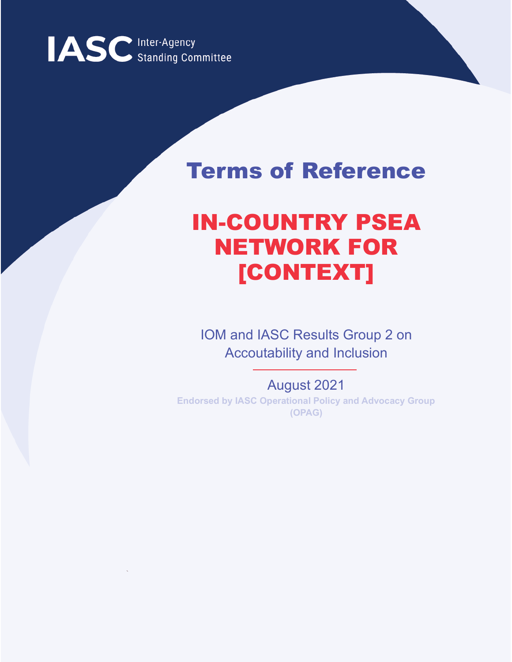

# Terms of Reference

# IN-COUNTRY PSEA NETWORK FOR [CONTEXT]

IOM and IASC Results Group 2 on Accoutability and Inclusion

August 2021 **Endorsed by IASC Operational Policy and Advocacy Group (OPAG)**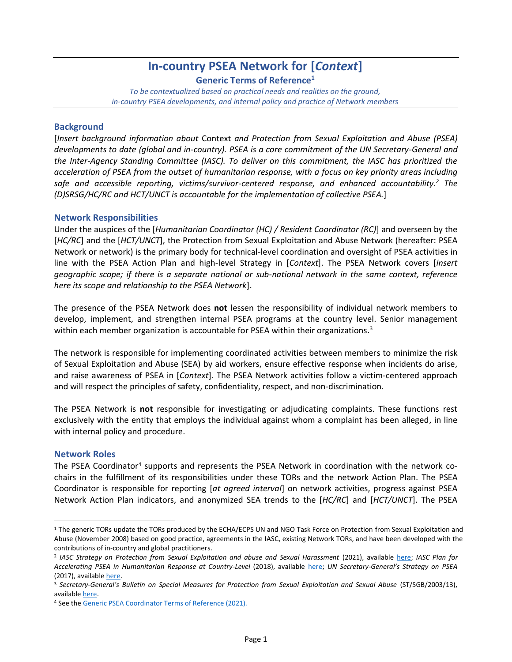# **In-country PSEA Network for [***Context***]**

**Generic Terms of Reference<sup>1</sup>**

*To be contextualized based on practical needs and realities on the ground, in-country PSEA developments, and internal policy and practice of Network members*

# **Background**

[*Insert background information about* Context *and Protection from Sexual Exploitation and Abuse (PSEA) developments to date (global and in-country). PSEA is a core commitment of the UN Secretary-General and the Inter-Agency Standing Committee (IASC). To deliver on this commitment, the IASC has prioritized the acceleration of PSEA from the outset of humanitarian response, with a focus on key priority areas including safe and accessible reporting, victims/survivor-centered response, and enhanced accountability.<sup>2</sup> The (D)SRSG/HC/RC and HCT/UNCT is accountable for the implementation of collective PSEA.*]

## **Network Responsibilities**

Under the auspices of the [*Humanitarian Coordinator (HC) / Resident Coordinator (RC)*] and overseen by the [*HC/RC*] and the [*HCT/UNCT*], the Protection from Sexual Exploitation and Abuse Network (hereafter: PSEA Network or network) is the primary body for technical-level coordination and oversight of PSEA activities in line with the PSEA Action Plan and high-level Strategy in [*Context*]. The PSEA Network covers [*insert geographic scope; if there is a separate national or sub-national network in the same context, reference here its scope and relationship to the PSEA Network*].

The presence of the PSEA Network does **not** lessen the responsibility of individual network members to develop, implement, and strengthen internal PSEA programs at the country level. Senior management within each member organization is accountable for PSEA within their organizations.<sup>3</sup>

The network is responsible for implementing coordinated activities between members to minimize the risk of Sexual Exploitation and Abuse (SEA) by aid workers, ensure effective response when incidents do arise, and raise awareness of PSEA in [*Context*]. The PSEA Network activities follow a victim-centered approach and will respect the principles of safety, confidentiality, respect, and non-discrimination.

The PSEA Network is **not** responsible for investigating or adjudicating complaints. These functions rest exclusively with the entity that employs the individual against whom a complaint has been alleged, in line with internal policy and procedure.

## **Network Roles**

The PSEA Coordinator<sup>4</sup> supports and represents the PSEA Network in coordination with the network cochairs in the fulfillment of its responsibilities under these TORs and the network Action Plan. The PSEA Coordinator is responsible for reporting [*at agreed interval*] on network activities, progress against PSEA Network Action Plan indicators, and anonymized SEA trends to the [*HC/RC*] and [*HCT/UNCT*]. The PSEA

<sup>&</sup>lt;sup>1</sup> The generic TORs update the TORs produced by the ECHA/ECPS UN and NGO Task Force on Protection from Sexual Exploitation and Abuse (November 2008) based on good practice, agreements in the IASC, existing Network TORs, and have been developed with the contributions of in-country and global practitioners.

<sup>2</sup> *IASC Strategy on Protection from Sexual Exploitation and abuse and Sexual Harassment* (2021), available [here;](https://psea.interagencystandingcommittee.org/sites/default/files/2021-04/Strategy-%20Protection%20from%20and%20response%20to%20Sexual%20Exploitation%20and%20Abuse%20%28SEA%29%20and%20Sexual%20Harassment%20%28SH%29.pdf) *IASC Plan for Accelerating PSEA in Humanitarian Response at Country-Level* (2018), available [here;](https://psea.interagencystandingcommittee.org/sites/default/files/2020-06/iasc_plan_for_accelerating_psea_in_humanitarian_response.pdf) *UN Secretary-General's Strategy on PSEA* (2017), available [here.](https://undocs.org/A/71/818)

<sup>3</sup> *Secretary-General's Bulletin on Special Measures for Protection from Sexual Exploitation and Sexual Abuse* (ST/SGB/2003/13), available [here.](https://undocs.org/ST/SGB/2003/13)

<sup>4</sup> See the Generic PSEA Coordinator Terms of Reference (2021).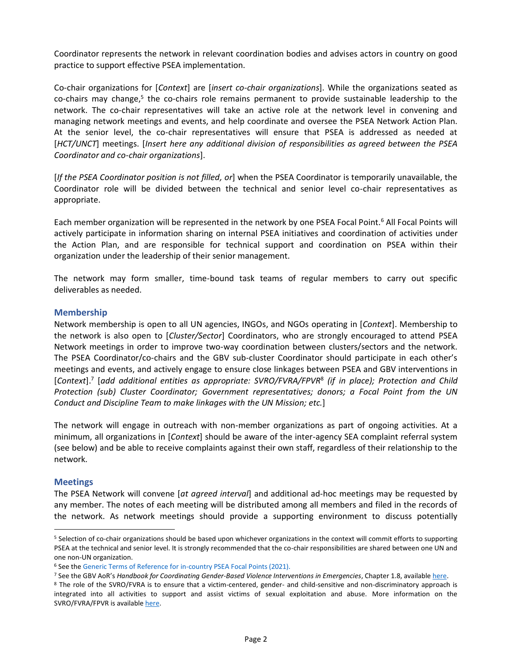Coordinator represents the network in relevant coordination bodies and advises actors in country on good practice to support effective PSEA implementation.

Co-chair organizations for [*Context*] are [*insert co-chair organizations*]. While the organizations seated as co-chairs may change,<sup>5</sup> the co-chairs role remains permanent to provide sustainable leadership to the network. The co-chair representatives will take an active role at the network level in convening and managing network meetings and events, and help coordinate and oversee the PSEA Network Action Plan. At the senior level, the co-chair representatives will ensure that PSEA is addressed as needed at [*HCT/UNCT*] meetings. [*Insert here any additional division of responsibilities as agreed between the PSEA Coordinator and co-chair organizations*].

[*If the PSEA Coordinator position is not filled, or*] when the PSEA Coordinator is temporarily unavailable, the Coordinator role will be divided between the technical and senior level co-chair representatives as appropriate.

Each member organization will be represented in the network by one PSEA Focal Point.<sup>6</sup> All Focal Points will actively participate in information sharing on internal PSEA initiatives and coordination of activities under the Action Plan, and are responsible for technical support and coordination on PSEA within their organization under the leadership of their senior management.

The network may form smaller, time-bound task teams of regular members to carry out specific deliverables as needed.

#### **Membership**

Network membership is open to all UN agencies, INGOs, and NGOs operating in [*Context*]. Membership to the network is also open to [*Cluster/Sector*] Coordinators, who are strongly encouraged to attend PSEA Network meetings in order to improve two-way coordination between clusters/sectors and the network. The PSEA Coordinator/co-chairs and the GBV sub-cluster Coordinator should participate in each other's meetings and events, and actively engage to ensure close linkages between PSEA and GBV interventions in [*Context*]. 7 [*add additional entities as appropriate: SVRO/FVRA/FPVR*<sup>8</sup> *(if in place); Protection and Child Protection (sub) Cluster Coordinator; Government representatives; donors; a Focal Point from the UN Conduct and Discipline Team to make linkages with the UN Mission; etc.*]

The network will engage in outreach with non-member organizations as part of ongoing activities. At a minimum, all organizations in [*Context*] should be aware of the inter-agency SEA complaint referral system (see below) and be able to receive complaints against their own staff, regardless of their relationship to the network.

#### **Meetings**

The PSEA Network will convene [*at agreed interval*] and additional ad-hoc meetings may be requested by any member. The notes of each meeting will be distributed among all members and filed in the records of the network. As network meetings should provide a supporting environment to discuss potentially

<sup>5</sup> Selection of co-chair organizations should be based upon whichever organizations in the context will commit efforts to supporting PSEA at the technical and senior level. It is strongly recommended that the co-chair responsibilities are shared between one UN and one non-UN organization.

<sup>6</sup> See the Generic Terms of Reference for in-country PSEA Focal Points (2021).

<sup>7</sup> See the GBV AoR's *Handbook for Coordinating Gender-Based Violence Interventions in Emergencies*, Chapter 1.8, available [here.](https://gbvaor.net/sites/default/files/2019-07/Handbook%20for%20Coordinating%20GBV%20in%20Emergencies_fin.pdf)

<sup>8</sup> The role of the SVRO/FVRA is to ensure that a victim-centered, gender- and child-sensitive and non-discriminatory approach is integrated into all activities to support and assist victims of sexual exploitation and abuse. More information on the SVRO/FVRA/FPVR is available [here.](https://www.un.org/preventing-sexual-exploitation-and-abuse/content/field-victims%E2%80%99-rights-advocates#:~:text=To%20bolster%20support%20to%20victims,all%20victims%20on%20the%20ground.)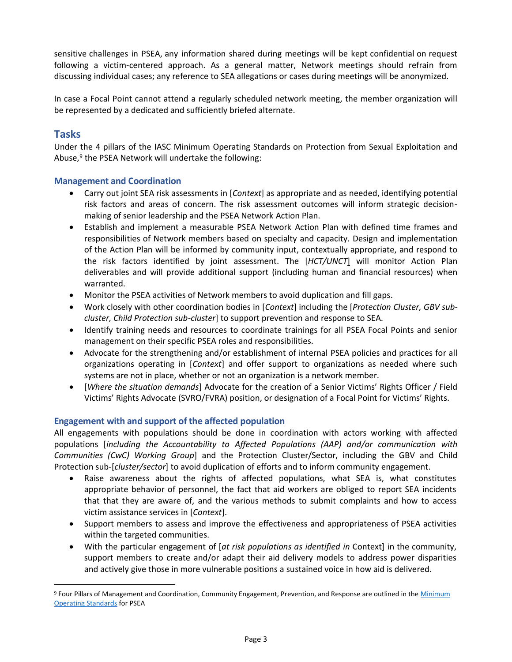sensitive challenges in PSEA, any information shared during meetings will be kept confidential on request following a victim-centered approach. As a general matter, Network meetings should refrain from discussing individual cases; any reference to SEA allegations or cases during meetings will be anonymized.

In case a Focal Point cannot attend a regularly scheduled network meeting, the member organization will be represented by a dedicated and sufficiently briefed alternate.

# **Tasks**

Under the 4 pillars of the IASC Minimum Operating Standards on Protection from Sexual Exploitation and Abuse,<sup>9</sup> the PSEA Network will undertake the following:

# **Management and Coordination**

- Carry out joint SEA risk assessments in [*Context*] as appropriate and as needed, identifying potential risk factors and areas of concern. The risk assessment outcomes will inform strategic decisionmaking of senior leadership and the PSEA Network Action Plan.
- Establish and implement a measurable PSEA Network Action Plan with defined time frames and responsibilities of Network members based on specialty and capacity. Design and implementation of the Action Plan will be informed by community input, contextually appropriate, and respond to the risk factors identified by joint assessment. The [*HCT/UNCT*] will monitor Action Plan deliverables and will provide additional support (including human and financial resources) when warranted.
- Monitor the PSEA activities of Network members to avoid duplication and fill gaps.
- Work closely with other coordination bodies in [*Context*] including the [*Protection Cluster, GBV subcluster, Child Protection sub-cluster*] to support prevention and response to SEA.
- Identify training needs and resources to coordinate trainings for all PSEA Focal Points and senior management on their specific PSEA roles and responsibilities.
- Advocate for the strengthening and/or establishment of internal PSEA policies and practices for all organizations operating in [*Context*] and offer support to organizations as needed where such systems are not in place, whether or not an organization is a network member.
- [*Where the situation demands*] Advocate for the creation of a Senior Victims' Rights Officer / Field Victims' Rights Advocate (SVRO/FVRA) position, or designation of a Focal Point for Victims' Rights.

## **Engagement with and support of the affected population**

All engagements with populations should be done in coordination with actors working with affected populations [*including the Accountability to Affected Populations (AAP) and/or communication with Communities (CwC) Working Group*] and the Protection Cluster/Sector, including the GBV and Child Protection sub-[*cluster/sector*] to avoid duplication of efforts and to inform community engagement.

- Raise awareness about the rights of affected populations, what SEA is, what constitutes appropriate behavior of personnel, the fact that aid workers are obliged to report SEA incidents that that they are aware of, and the various methods to submit complaints and how to access victim assistance services in [*Context*].
- Support members to assess and improve the effectiveness and appropriateness of PSEA activities within the targeted communities.
- With the particular engagement of [*at risk populations as identified in* Context] in the community, support members to create and/or adapt their aid delivery models to address power disparities and actively give those in more vulnerable positions a sustained voice in how aid is delivered.

<sup>9</sup> Four Pillars of Management and Coordination, Community Engagement, Prevention, and Response are outlined in the Minimum [Operating Standards](https://psea.interagencystandingcommittee.org/sites/default/files/Minimum%20Operating%20Standards) for PSEA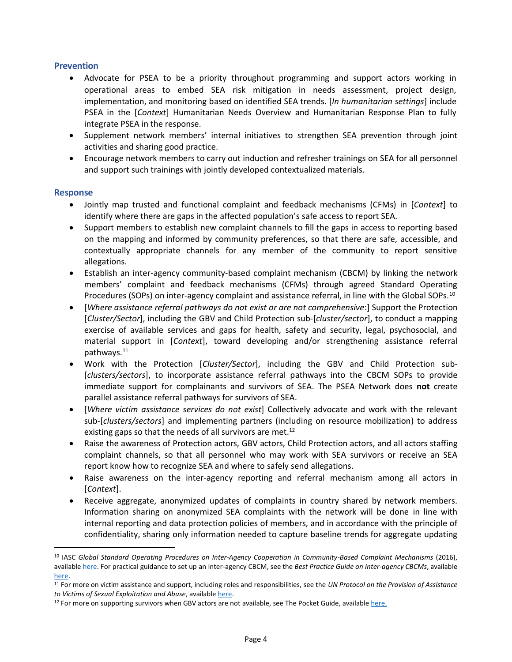# **Prevention**

- Advocate for PSEA to be a priority throughout programming and support actors working in operational areas to embed SEA risk mitigation in needs assessment, project design, implementation, and monitoring based on identified SEA trends. [*In humanitarian settings*] include PSEA in the [*Context*] Humanitarian Needs Overview and Humanitarian Response Plan to fully integrate PSEA in the response.
- Supplement network members' internal initiatives to strengthen SEA prevention through joint activities and sharing good practice.
- Encourage network members to carry out induction and refresher trainings on SEA for all personnel and support such trainings with jointly developed contextualized materials.

#### **Response**

- Jointly map trusted and functional complaint and feedback mechanisms (CFMs) in [*Context*] to identify where there are gaps in the affected population's safe access to report SEA.
- Support members to establish new complaint channels to fill the gaps in access to reporting based on the mapping and informed by community preferences, so that there are safe, accessible, and contextually appropriate channels for any member of the community to report sensitive allegations.
- Establish an inter-agency community-based complaint mechanism (CBCM) by linking the network members' complaint and feedback mechanisms (CFMs) through agreed Standard Operating Procedures (SOPs) on inter-agency complaint and assistance referral, in line with the Global SOPs.<sup>10</sup>
- [*Where assistance referral pathways do not exist or are not comprehensive*:] Support the Protection [*Cluster/Sector*], including the GBV and Child Protection sub-[*cluster/sector*], to conduct a mapping exercise of available services and gaps for health, safety and security, legal, psychosocial, and material support in [*Context*], toward developing and/or strengthening assistance referral pathways. 11
- Work with the Protection [*Cluster/Sector*], including the GBV and Child Protection sub- [*clusters/sectors*], to incorporate assistance referral pathways into the CBCM SOPs to provide immediate support for complainants and survivors of SEA. The PSEA Network does **not** create parallel assistance referral pathways for survivors of SEA.
- [*Where victim assistance services do not exist*] Collectively advocate and work with the relevant sub-[*clusters/sectors*] and implementing partners (including on resource mobilization) to address existing gaps so that the needs of all survivors are met.<sup>12</sup>
- Raise the awareness of Protection actors, GBV actors, Child Protection actors, and all actors staffing complaint channels, so that all personnel who may work with SEA survivors or receive an SEA report know how to recognize SEA and where to safely send allegations.
- Raise awareness on the inter-agency reporting and referral mechanism among all actors in [*Context*].
- Receive aggregate, anonymized updates of complaints in country shared by network members. Information sharing on anonymized SEA complaints with the network will be done in line with internal reporting and data protection policies of members, and in accordance with the principle of confidentiality, sharing only information needed to capture baseline trends for aggregate updating

<sup>10</sup> IASC *Global Standard Operating Procedures on Inter-Agency Cooperation in Community-Based Complaint Mechanisms* (2016), available [here.](https://interagencystandingcommittee.org/system/files/global_standard_operating_procedures_on_inter_agency_cooperation_in_cbcms.pdf) For practical guidance to set up an inter-agency CBCM, see the *Best Practice Guide on Inter-agency CBCMs*, available [here.](https://interagencystandingcommittee.org/accountability-affected-populations-including-protection-sexual-exploitation-and-abuse/documents-50)

<sup>11</sup> For more on victim assistance and support, including roles and responsibilities, see the *UN Protocol on the Provision of Assistance to Victims of Sexual Exploitation and Abuse*, availabl[e here.](https://www.un.org/en/pdfs/UN%20Victim%20Assistance%20Protocol_English_Final.pdf)

<sup>&</sup>lt;sup>12</sup> For more on supporting survivors when GBV actors are not available, see The Pocket Guide, available [here.](https://gbvguidelines.org/en/pocketguide/)